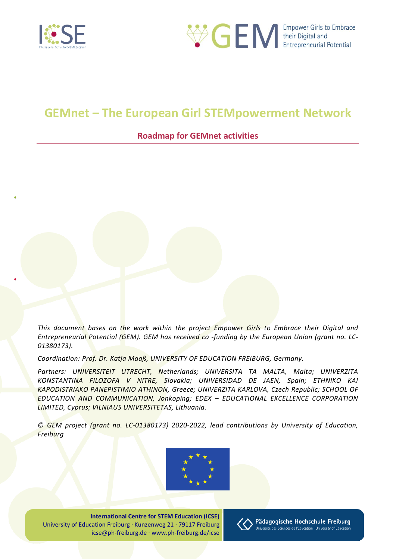



# **GEMnet – The European Girl STEMpowerment Network**

## **Roadmap for GEMnet activities**

*This document bases on the work within the project Empower Girls to Embrace their Digital and Entrepreneurial Potential (GEM). GEM has received co -funding by the European Union (grant no. LC-01380173).*

*Coordination: Prof. Dr. Katja Maaß, UNIVERSITY OF EDUCATION FREIBURG, Germany.* 

*Partners: UNIVERSITEIT UTRECHT, Netherlands; UNIVERSITA TA MALTA, Malta; UNIVERZITA KONSTANTINA FILOZOFA V NITRE, Slovakia; UNIVERSIDAD DE JAEN, Spain; ETHNIKO KAI KAPODISTRIAKO PANEPISTIMIO ATHINON, Greece; UNIVERZITA KARLOVA, Czech Republic; SCHOOL OF EDUCATION AND COMMUNICATION, Jonkoping; EDEX – EDUCATIONAL EXCELLENCE CORPORATION LIMITED, Cyprus; VILNIAUS UNIVERSITETAS, Lithuania.*

*© GEM project (grant no. LC-01380173) 2020-2022, lead contributions by University of Education, Freiburg* 



**International Centre for STEM Education (ICSE)** University of Education Freiburg · Kunzenweg 21 · 79117 Freiburg icse@ph-freiburg.de · www.ph-freiburg.de/icse

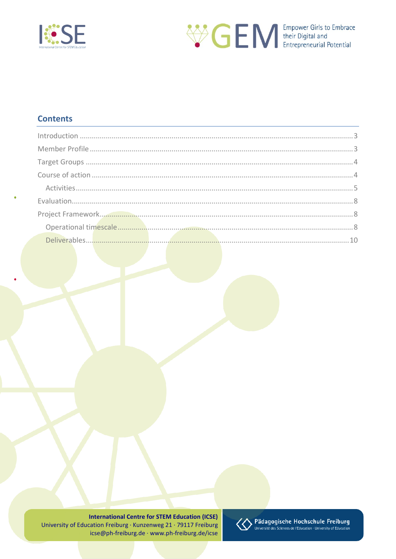



## **Contents**

**International Centre for STEM Education (ICSE)** University of Education Freiburg · Kunzenweg 21 · 79117 Freiburg icse@ph-freiburg.de · www.ph-freiburg.de/icse

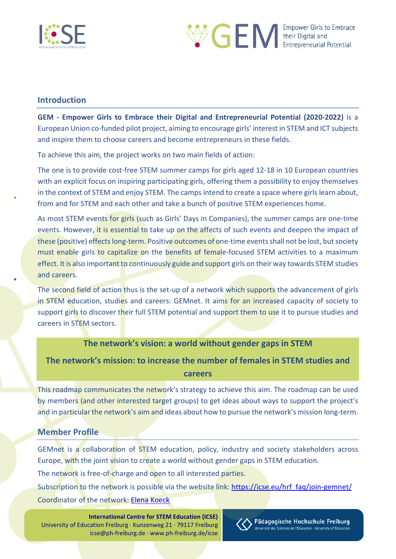



## <span id="page-2-0"></span>**Introduction**

**GEM - Empower Girls to Embrace their Digital and Entrepreneurial Potential (2020-2022)** is a European Union co-funded pilot project, aiming to encourage girls' interest in STEM and ICT subjects and inspire them to choose careers and become entrepreneurs in these fields.

To achieve this aim, the project works on two main fields of action:

The one is to provide cost-free STEM summer camps for girls aged 12-18 in 10 European countries with an explicit focus on inspiring participating girls, offering them a possibility to enjoy themselves in the context of STEM and enjoy STEM. The camps intend to create a space where girls learn about, from and for STEM and each other and take a bunch of positive STEM experiences home.

As most STEM events for girls (such as Girls' Days in Companies), the summer camps are one-time events. However, it is essential to take up on the affects of such events and deepen the impact of these (positive) effects long-term. Positive outcomes of one-time events shall not be lost, but society must enable girls to capitalize on the benefits of female-focused STEM activities to a maximum effect. It is also important to continuously guide and support girls on their way towards STEM studies and careers.

The second field of action thus is the set-up of a network which supports the advancement of girls in STEM education, studies and careers: GEMnet. It aims for an increased capacity of society to support girls to discover their full STEM potential and support them to use it to pursue studies and careers in STEM sectors.

## **The network's vision: a world without gender gaps in STEM**

**The network's mission: to increase the number of females in STEM studies and careers**

This roadmap communicates the network's strategy to achieve this aim. The roadmap can be used by members (and other interested target groups) to get ideas about ways to support the project's and in particular the network's aim and ideas about how to pursue the network's mission long-term.

## <span id="page-2-1"></span>**Member Profile**

GEMnet is a collaboration of STEM education, policy, industry and society stakeholders across Europe, with the joint vision to create a world without gender gaps in STEM education.

The network is free-of-charge and open to all interested parties.

Subscription to the network is possible via the website link: [https://icse.eu/hrf\\_faq/join-gemnet/](https://icse.eu/hrf_faq/join-gemnet/) Coordinator of the network: [Elena Koeck](mailto:elena.koeck@ph-freiburg.de)

**International Centre for STEM Education (ICSE)** University of Education Freiburg · Kunzenweg 21 · 79117 Freiburg icse@ph-freiburg.de · www.ph-freiburg.de/icse

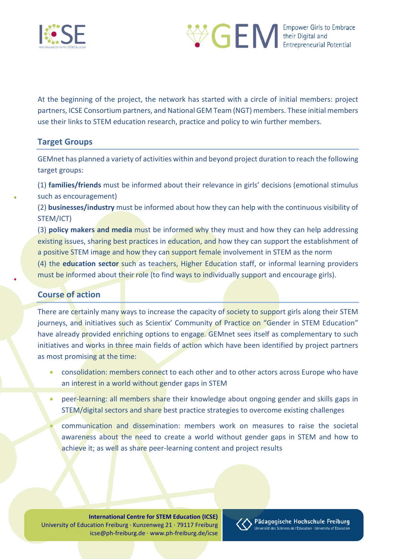



At the beginning of the project, the network has started with a circle of initial members: project partners, ICSE Consortium partners, and National GEM Team (NGT) members. These initial members use their links to STEM education research, practice and policy to win further members.

## <span id="page-3-0"></span>**Target Groups**

GEMnet has planned a variety of activities within and beyond project duration to reach the following target groups:

(1) **families/friends** must be informed about their relevance in girls' decisions (emotional stimulus such as encouragement)

(2) **businesses/industry** must be informed about how they can help with the continuous visibility of STEM/ICT)

(3) **policy makers and media** must be informed why they must and how they can help addressing existing issues, sharing best practices in education, and how they can support the establishment of a positive STEM image and how they can support female involvement in STEM as the norm

(4) the **education sector** such as teachers, Higher Education staff, or informal learning providers must be informed about their role (to find ways to individually support and encourage girls).

## <span id="page-3-1"></span>**Course of action**

There are certainly many ways to increase the capacity of society to support girls along their STEM journeys, and initiatives such as Scientix' Community of Practice on "Gender in STEM Education" have already provided enriching options to engage. GEMnet sees itself as complementary to such initiatives and works in three main fields of action which have been identified by project partners as most promising at the time:

- consolidation: members connect to each other and to other actors across Europe who have an interest in a world without gender gaps in STEM
- peer-learning: all members share their knowledge about ongoing gender and skills gaps in STEM/digital sectors and share best practice strategies to overcome existing challenges
- communication and dissemination: members work on measures to raise the societal awareness about the need to create a world without gender gaps in STEM and how to achieve it; as well as share peer-learning content and project results

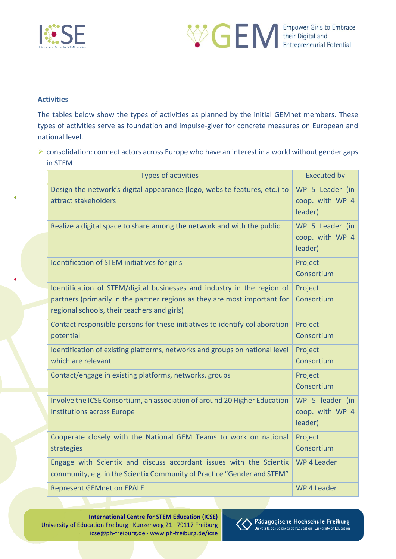



#### <span id="page-4-0"></span>**Activities**

The tables below show the types of activities as planned by the initial GEMnet members. These types of activities serve as foundation and impulse-giver for concrete measures on European and national level.

 consolidation: connect actors across Europe who have an interest in a world without gender gaps in STEM

|  | <b>Types of activities</b>                                                                                                                     | <b>Executed by</b>                            |
|--|------------------------------------------------------------------------------------------------------------------------------------------------|-----------------------------------------------|
|  | Design the network's digital appearance (logo, website features, etc.) to<br>attract stakeholders                                              | WP 5 Leader (in<br>coop. with WP 4<br>leader) |
|  | Realize a digital space to share among the network and with the public                                                                         | WP 5 Leader (in<br>coop. with WP 4<br>leader) |
|  | Identification of STEM initiatives for girls                                                                                                   | Project<br>Consortium                         |
|  | Identification of STEM/digital businesses and industry in the region of                                                                        | Project                                       |
|  | partners (primarily in the partner regions as they are most important for<br>regional schools, their teachers and girls)                       | Consortium                                    |
|  | Contact responsible persons for these initiatives to identify collaboration<br>potential                                                       | Project<br>Consortium                         |
|  | Identification of existing platforms, networks and groups on national level<br>which are relevant                                              | Project<br>Consortium                         |
|  | Contact/engage in existing platforms, networks, groups                                                                                         | Project<br>Consortium                         |
|  | Involve the ICSE Consortium, an association of around 20 Higher Education<br><b>Institutions across Europe</b>                                 | WP 5 leader (in<br>coop. with WP 4<br>leader) |
|  | Cooperate closely with the National GEM Teams to work on national<br>strategies                                                                | Project<br>Consortium                         |
|  | Engage with Scientix and discuss accordant issues with the Scientix<br>community, e.g. in the Scientix Community of Practice "Gender and STEM" | WP 4 Leader                                   |
|  | <b>Represent GEMnet on EPALE</b>                                                                                                               | WP 4 Leader                                   |

**International Centre for STEM Education (ICSE)** University of Education Freiburg · Kunzenweg 21 · 79117 Freiburg icse@ph-freiburg.de · www.ph-freiburg.de/icse

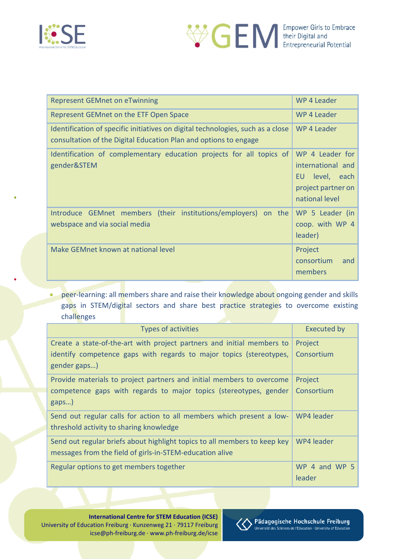



| <b>Represent GEMnet on eTwinning</b>                                                                                                                | WP 4 Leader                                                                                       |  |
|-----------------------------------------------------------------------------------------------------------------------------------------------------|---------------------------------------------------------------------------------------------------|--|
| Represent GEMnet on the ETF Open Space                                                                                                              | WP 4 Leader                                                                                       |  |
| Identification of specific initiatives on digital technologies, such as a close<br>consultation of the Digital Education Plan and options to engage | WP 4 Leader                                                                                       |  |
| Identification of complementary education projects for all topics of<br>gender&STEM                                                                 | WP 4 Leader for<br>international and<br>level, each<br>EU<br>project partner on<br>national level |  |
| Introduce GEMnet members (their institutions/employers) on the<br>webspace and via social media                                                     | WP 5 Leader (in<br>coop. with WP 4<br>leader)                                                     |  |
| Make GEMnet known at national level                                                                                                                 | Project<br>consortium<br>and<br>members                                                           |  |

• peer-learning: all members share and raise their knowledge about ongoing gender and skills gaps in STEM/digital sectors and share best practice strategies to overcome existing challenges

| <b>Types of activities</b>                                                          | <b>Executed by</b>      |  |
|-------------------------------------------------------------------------------------|-------------------------|--|
| Create a state-of-the-art with project partners and initial members to              | Project                 |  |
| identify competence gaps with regards to major topics (stereotypes,<br>gender gaps) | Consortium              |  |
| Provide materials to project partners and initial members to overcome               | Project                 |  |
| competence gaps with regards to major topics (stereotypes, gender                   | Consortium              |  |
| gaps)                                                                               |                         |  |
| Send out regular calls for action to all members which present a low-               | WP4 leader              |  |
|                                                                                     |                         |  |
| Send out regular briefs about highlight topics to all members to keep key           | WP4 leader              |  |
| messages from the field of girls-in-STEM-education alive                            |                         |  |
| Regular options to get members together                                             | WP 4 and WP 5<br>leader |  |
| threshold activity to sharing knowledge                                             |                         |  |

**International Centre for STEM Education (ICSE)** University of Education Freiburg · Kunzenweg 21 · 79117 Freiburg icse@ph-freiburg.de · www.ph-freiburg.de/icse

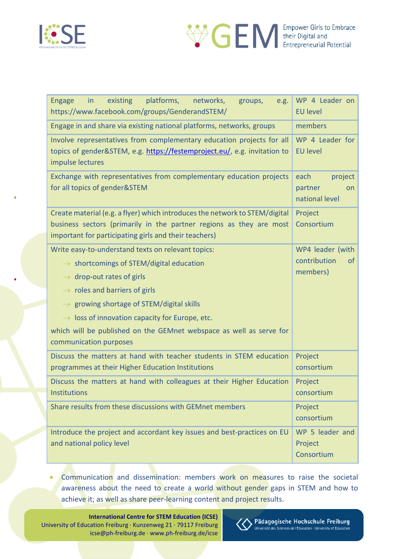



| platforms,<br>existing<br>networks,<br><b>Engage</b><br>in<br>groups,<br>e.g.<br>https://www.facebook.com/groups/GenderandSTEM/                                                                             | WP 4 Leader on<br><b>EU level</b>                  |  |
|-------------------------------------------------------------------------------------------------------------------------------------------------------------------------------------------------------------|----------------------------------------------------|--|
| Engage in and share via existing national platforms, networks, groups                                                                                                                                       | members                                            |  |
| Involve representatives from complementary education projects for all<br>topics of gender&STEM, e.g. https://festemproject.eu/, e.g. invitation to<br>impulse lectures                                      | WP 4 Leader for<br><b>EU level</b>                 |  |
| Exchange with representatives from complementary education projects<br>for all topics of gender&STEM                                                                                                        | each<br>project<br>partner<br>on<br>national level |  |
| Create material (e.g. a flyer) which introduces the network to STEM/digital<br>business sectors (primarily in the partner regions as they are most<br>important for participating girls and their teachers) | Project<br>Consortium                              |  |
| Write easy-to-understand texts on relevant topics:                                                                                                                                                          | WP4 leader (with                                   |  |
| $\rightarrow$ shortcomings of STEM/digital education                                                                                                                                                        | contribution<br><sub>of</sub>                      |  |
| $\rightarrow$ drop-out rates of girls                                                                                                                                                                       | members)                                           |  |
| $\rightarrow$ roles and barriers of girls                                                                                                                                                                   |                                                    |  |
| $\rightarrow$ growing shortage of STEM/digital skills                                                                                                                                                       |                                                    |  |
| $\rightarrow$ loss of innovation capacity for Europe, etc.                                                                                                                                                  |                                                    |  |
| which will be published on the GEMnet webspace as well as serve for<br>communication purposes                                                                                                               |                                                    |  |
| Discuss the matters at hand with teacher students in STEM education<br>programmes at their Higher Education Institutions                                                                                    | Project<br>consortium                              |  |
| Discuss the matters at hand with colleagues at their Higher Education                                                                                                                                       | Project                                            |  |
| <b>Institutions</b>                                                                                                                                                                                         | consortium                                         |  |
| Share results from these discussions with GEMnet members                                                                                                                                                    | Project<br>consortium                              |  |
| Introduce the project and accordant key issues and best-practices on EU<br>and national policy level                                                                                                        | WP 5 leader and<br>Project<br>Consortium           |  |

• Communication and dissemination: members work on measures to raise the societal awareness about the need to create a world without gender gaps in STEM and how to achieve it; as well as share peer-learning content and project results.

**International Centre for STEM Education (ICSE)** University of Education Freiburg · Kunzenweg 21 · 79117 Freiburg icse@ph-freiburg.de · www.ph-freiburg.de/icse

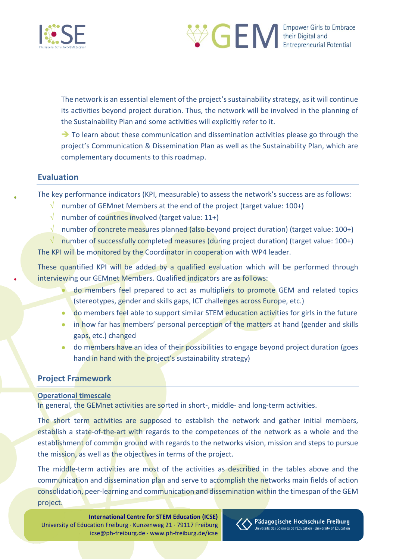



The network is an essential element of the project's sustainability strategy, as it will continue its activities beyond project duration. Thus, the network will be involved in the planning of the Sustainability Plan and some activities will explicitly refer to it.

 $\rightarrow$  To learn about these communication and dissemination activities please go through the project's Communication & Dissemination Plan as well as the Sustainability Plan, which are complementary documents to this roadmap.

## <span id="page-7-0"></span>**Evaluation**

The key performance indicators (KPI, measurable) to assess the network's success are as follows:

- √ number of GEMnet Members at the end of the project (target value: 100+)
- $\sqrt{\phantom{a}}$  number of countries involved (target value: 11+)
- $\sqrt{\phantom{a}}$  number of concrete measures planned (also beyond project duration) (target value: 100+)

 $\sqrt{\phantom{a}}$  number of successfully completed measures (during project duration) (target value: 100+) The KPI will be monitored by the Coordinator in cooperation with WP4 leader.

These quantified KPI will be added by a qualified evaluation which will be performed through interviewing our GEMnet Members. Qualified indicators are as follows:

- do members feel prepared to act as multipliers to promote GEM and related topics (stereotypes, gender and skills gaps, ICT challenges across Europe, etc.)
- do members feel able to support similar STEM education activities for girls in the future
- in how far has members' personal perception of the matters at hand (gender and skills gaps, etc.) changed
- do members have an idea of their possibilities to engage beyond project duration (goes hand in hand with the project's sustainability strategy)

## <span id="page-7-1"></span>**Project Framework**

## <span id="page-7-2"></span>**Operational timescale**

In general, the GEMnet activities are sorted in short-, middle- and long-term activities.

The short term activities are supposed to establish the network and gather initial members, establish a state-of-the-art with regards to the competences of the network as a whole and the establishment of common ground with regards to the networks vision, mission and steps to pursue the mission, as well as the objectives in terms of the project.

The middle-term activities are most of the activities as described in the tables above and the communication and dissemination plan and serve to accomplish the networks main fields of action consolidation, peer-learning and communication and dissemination within the timespan of the GEM project.

**International Centre for STEM Education (ICSE)** University of Education Freiburg · Kunzenweg 21 · 79117 Freiburg icse@ph-freiburg.de · www.ph-freiburg.de/icse

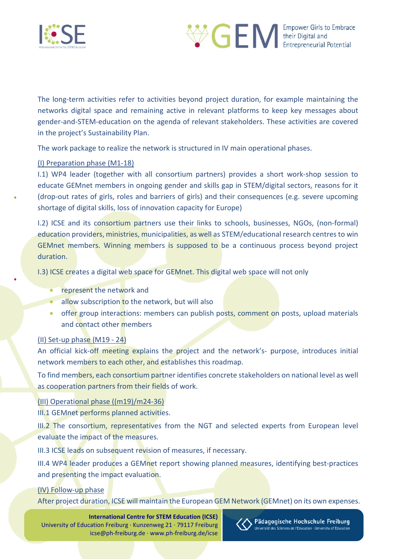



The long-term activities refer to activities beyond project duration, for example maintaining the networks digital space and remaining active in relevant platforms to keep key messages about gender-and-STEM-education on the agenda of relevant stakeholders. These activities are covered in the project's Sustainability Plan.

The work package to realize the network is structured in IV main operational phases.

#### (I) Preparation phase (M1-18)

I.1) WP4 leader (together with all consortium partners) provides a short work-shop session to educate GEMnet members in ongoing gender and skills gap in STEM/digital sectors, reasons for it (drop-out rates of girls, roles and barriers of girls) and their consequences (e.g. severe upcoming shortage of digital skills, loss of innovation capacity for Europe)

I.2) ICSE and its consortium partners use their links to schools, businesses, NGOs, (non-formal) education providers, ministries, municipalities, as well as STEM/educational research centres to win GEMnet members. Winning members is supposed to be a continuous process beyond project duration.

I.3) ICSE creates a digital web space for GEMnet. This digital web space will not only

- represent the network and
- allow subscription to the network, but will also
- offer group interactions: members can publish posts, comment on posts, upload materials and contact other members

## (II) Set-up phase (M19 - 24)

An official kick-off meeting explains the project and the network's- purpose, introduces initial network members to each other, and establishes this roadmap.

To find members, each consortium partner identifies concrete stakeholders on national level as well as cooperation partners from their fields of work.

## (III) Operational phase ((m19)/m24-36)

III.1 GEMnet performs planned activities.

III.2 The consortium, representatives from the NGT and selected experts from European level evaluate the impact of the measures.

III.3 ICSE leads on subsequent revision of measures, if necessary.

III.4 WP4 leader produces a GEMnet report showing planned measures, identifying best-practices and presenting the impact evaluation.

#### (IV) Follow-up phase

After project duration, ICSE will maintain the European GEM Network (GEMnet) on its own expenses.

**International Centre for STEM Education (ICSE)** University of Education Freiburg · Kunzenweg 21 · 79117 Freiburg icse@ph-freiburg.de · www.ph-freiburg.de/icse